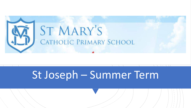

# St Joseph – Summer Term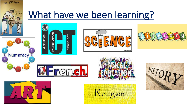

 $\overline{8}$ 

# What have we been learning?















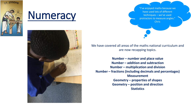

# **Numeracy**



"I've enjoyed maths because we have used lots of different techniques – we've used protractors to measure angles." Chris

### We have covered all areas of the maths national curriculum and are now recapping topics.

**Number – number and place value Number – addition and subtraction Number – multiplication and division Number – fractions (including decimals and percentages) Measurement Geometry – properties of shapes Geometry – position and direction Statistics**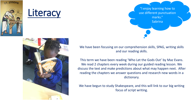

### **Literacy**



"I enjoy learning how to use different punctuation marks." Sabrina

We have been focusing on our comprehension skills, SPAG, writing skills and our reading skills.

This term we have been reading 'Who Let the Gods Out' by Maz Evans. We read 2 chapters every week during our guided reading lesson. We discuss the text and make predictions about what may happen next. After reading the chapters we answer questions and research new words in a dictionary.

We have begun to study Shakespeare, and this will link to our big writing focus of script writing.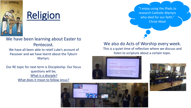

### Religion

### We have been learning about Easter to

### Pentecost.

We have all been able to retell Luke's account of Passover and we have learnt about the Tyburn Martyrs.

Our RE topic for next term is Discipleship. Our focus questions will be; What is a disciple? What does it mean to follow Jesus?

"I enjoy using the iPads to research Catholic Martyrs who died for our faith." Christ-Mael

### We also do Acts of Worship every week.

This is a quiet time of reflection where we discuss and listen to scripture about a certain topic.





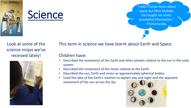

### Science

"I didn't know much about space but Miss Mullahy has taught me some wonderful information." Chimamanda

Look at some of the science ninjas we've received lately!



This term in science we have learnt about Earth and Space.

### Children have:

- Described the movement of the Earth and other planets relative to the sun in the solar system.
- Described the movement of the moon relative to the Earth.
- Described the sun, Earth and moon as approximately spherical bodies.
- Used the idea of the Earth's rotation to explain day and night and the apparent movement of the sun across the sky

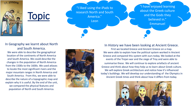

Topic

"I liked using the iPads to research North and South America." Leon

"I have enjoyed learning about the Greek culture and the Gods they believed in." Emmanuel

### In Geography we learnt about North and South America.

We were able to describe the geographical location of the continents of North America and South America. We could describe the changes in the population of North America from the 1500s to the 1600s. We used atlases to locate the most significant rivers and the major mountain ranges in North America and South America. From this, we were able to describe the nature of a topographic map and explain why it is useful. By the end of the unit, we compared the physical features and population of North and South America.



#### In History we have been looking at Ancient Greece.

First we located Greece and Ancient Greece on a map. We were able to explain how the political system worked in Ancient Greece and compared this system with ours today. We looked at the events of the Trojan war and the siege of Troy and were able to summarise these. We will continue to explore artefacts of ancient Greece and think about how they help us to learn about Greek culture. We will explore Greek architecture and notice how it's influenced today's buildings. We will develop our understanding of the Olympics in Ancient Greek times and think about how it differs from today.

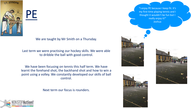

We are taught by Mr Smith on a Thursday.

Last term we were practising our hockey skills. We were able to dribble the ball with good control.

We have been focusing on tennis this half term. We have learnt the forehand shot, the backhand shot and how to win a point using a volley. We constantly developed our skills of ball control.

Next term our focus is rounders.

"I enjoy PE because I keep fit. It's my first time playing tennis and I thought it wouldn't be fun but I really enjoy it!" Joshua





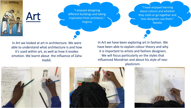

"I enjoyed designing different buildings and taking inspiration from architects." Virginia

"I have enjoyed learning about colours and whether they clash or go together and how designers use them." Natalie

In Art we looked at art in architecture. We were able to understand what architecture is and how it's used within art, as well as how it evokes emotion. We learnt about the influence of Zaha Hadid.

In Art we have been exploring art in fashion. We have been able to explain colour theory and why it is important to artists and fashion designers. We will focus particularly on the styles that influenced Mondrian and about his style of neoplasticism.



Art



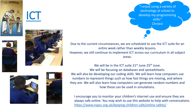

IC I



"I enjoy using a variety of technology at school to develop my programming skills." Christvi

Due to the current circumstances, we are scheduled to use the ICT suite for an entire week rather than weekly lessons.

However, we still continue to implement ICT across our curriculum in all subject areas.



We will be focusing on databases and spreadsheets. We will also be developing our coding skills. We will learn how computers use numbers to represent things such as how fast things are moving, and where they are. We will also learn how computers can generate random numbers and how these can be used in simulations.

We will be in the ICT suite 21<sup>st</sup> June-25<sup>th</sup> June.

I encourage you to monitor your children's internet use and ensure they are always safe online. You may wish to use this website to help with conversations. <https://www.nspcc.org.uk/keeping-children-safe/online-safety/>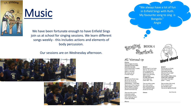

### Music

We have been fortunate enough to have Enfield Sings join us at school for singing sessions. We learn different songs weekly - this includes actions and elements of body percussion.

Our sessions are on Wednesday afternoon.





"We always have a lot of fun in Enfield Sings with Ruth. My favourite song to sing is Bongolo." Angie



Verse 2

Gonna laugh in our boots,

(Ho! Ho, ho, ho, ho, ho!)

Do a firework show,

(BIG pumpkin,

Let our lasso go,

(Yeee-hiiliiii - Yo!).

(VvvVVVVVVvvvv!)

Make a face like fruits,

tiny little raisin face!)

Then we strike a pose

And we punch the air,

With a bold left hand!

(Punch air 8 times)

**Chorus** 

And make a stand,

#### All Warmed-up

Charus: Gotta energise the body, Gotta get the body ready, Gotta feel that beat, And we gotta keep it steady. We're in the mood, We're in the know.

Get ready, get set, And here we go! Verse 1

Gonna pump those lungs (Ss, ss, ss, ss, ss, ss) Gonna dive in the lake, (Wheeeeeee - voice slide) Gonna work those tongues, (Stick tongues in and out) Gonna shiver and shake. (Brownwereverwererer)

Then we strike a pose, And make a stand, And we punch the air, With a bold right hand! (Punch air 8 times)

Chorus



Verse 3

Gonna open our throat, (Ahhhhhhhhhhhhh!) Gonna talk real posh, (Gracious! Do ai really? Eow mai gosh!) Gonna shake, shake, shake, (shake body vigorously) Like a dog in the wash, (Grrrrr --- woof!).

Then we take of the hand, Of the nearest friend, And we take a bow. 'Cos we've reached the end!

Kay Umansky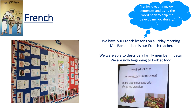



"I enjoy creating my own sentences and using the word bank to help me develop my vocabulary." Ali

We have our French lessons on a Friday morning. Mrs Ramdarshan is our French teacher.

We were able to describe a family member in detail. We are now beginning to look at food.

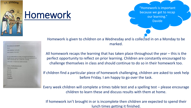

### Homework

"Homework is important because we get to recap our learning." Davide

ate handed out: 26.05.2021 Date handed in: 07.06.2021 All the answers need to be written on the paper provided and you should show your numeracy working out. There are several parts yo need to work through, each of them with a heading s homework you need to complete Literacy - Reading Comprehensio **5PAG- Grammar Practice** Spellings Numeracy Numeracy Timetable Handwriting

Homework is given to children on a Wednesday and is collected in on a Monday to be marked.

All homework recaps the learning that has taken place throughout the year – this is the perfect opportunity to reflect on prior learning. Children are constantly encouraged to challenge themselves in class and should continue to do so in their homework too.

If children find a particular piece of homework challenging, children are asked to seek help before Friday. I am happy to go over the task.

Every week children will complete a times table test and a spelling test – please encourage children to learn these and discuss results with them at home.

If homework isn't brought in or is incomplete then children are expected to spend their lunch times getting it finished.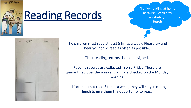

# Reading Records

"I enjoy reading at home because I learn new vocabulary." Horeb

| Date | Book and<br>Page Number | Remarks |
|------|-------------------------|---------|
|      |                         |         |
|      |                         |         |
|      |                         |         |
|      |                         |         |
|      |                         |         |
|      |                         |         |
|      |                         |         |
|      |                         |         |
|      |                         |         |
|      |                         |         |
|      |                         |         |
|      |                         |         |
|      |                         |         |
|      |                         |         |
|      |                         |         |
|      |                         |         |
|      |                         |         |

The children must read at least 5 times a week. Please try and hear your child read as often as possible.

Their reading records should be signed.

Reading records are collected in on a Friday. These are quarantined over the weekend and are checked on the Monday morning.

If children do not read 5 times a week, they will stay in during lunch to give them the opportunity to read.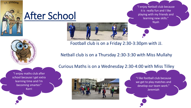

# After School



"I enjoy Netball club because it is really fun and I like playing with my friends and learning new skills." Nyah

Football club is on a Friday 2:30-3:30pm with JJ.

Netball club is on a Thursday 2:30-3:30 with Miss Mullahy

Curious Maths is on a Wednesday 2:30-4:00 with Miss Tilley

"I enjoy maths club after school because I get extra learning time and I'm becoming smarter." Korri



"I like football club because we get to play matches and develop our team work." Jeremiah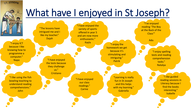



# What have I enjoyed in St Joseph?

"The lessons have intrigued me and I like my teacher." Dajah

"I enjoy ICT because I like knowing how to programme a computer." Napo

"I like using the fish bowling teaching to understand reading comprehensions." John

"I have enjoyed the tests because they challenge

> us." **Cristiano**

> > "I have enjoyed our class readings." **Carine**

"I have enjoyed the variety of sports offered in year 5 and am now more enthusiastic." Kayla

"I enjoy the homework we get because it's stimulating and intriguing." Patrik

> "Learning is really fun in St Joseph and this helps with my learning." Gabriella

"I've enjoyed reading 'The Boy at the Back of the Class'"

Adu

"I enjoy spelling tests and reading comprehension tasks." Natalya

> "I like guided reading sessions in Literacy because I find the books interesting." Isabelle